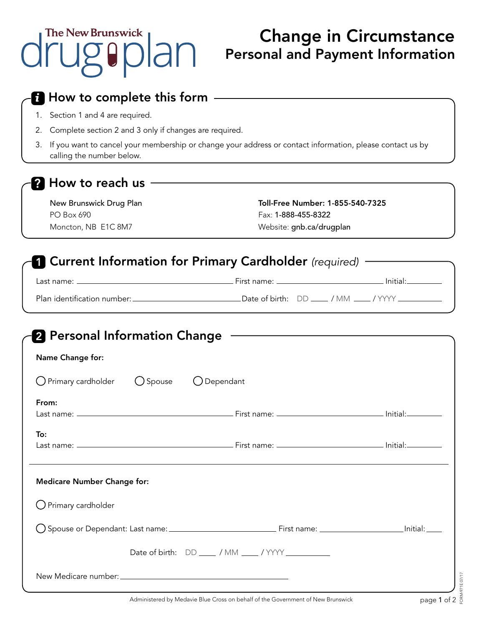# Change in Circumstance Personal and Payment Information

| $\boldsymbol{t}$ How to complete this form                                                                                                   |                                                        |  |  |
|----------------------------------------------------------------------------------------------------------------------------------------------|--------------------------------------------------------|--|--|
| Section 1 and 4 are required.<br>1.                                                                                                          |                                                        |  |  |
| 2.                                                                                                                                           | Complete section 2 and 3 only if changes are required. |  |  |
| If you want to cancel your membership or change your address or contact information, please contact us by<br>3.<br>calling the number below. |                                                        |  |  |
| <b>?</b> How to reach us                                                                                                                     |                                                        |  |  |
| New Brunswick Drug Plan                                                                                                                      | Toll-Free Number: 1-855-540-7325                       |  |  |
| PO Box 690                                                                                                                                   | Fax: 1-888-455-8322                                    |  |  |
| Moncton, NB E1C 8M7                                                                                                                          | Website: gnb.ca/drugplan                               |  |  |
| <b>Current Information for Primary Cardholder</b> (required)                                                                                 |                                                        |  |  |
|                                                                                                                                              |                                                        |  |  |
|                                                                                                                                              |                                                        |  |  |
| $\bigcup$ Spouse                                                                                                                             | ◯ Dependant                                            |  |  |
|                                                                                                                                              |                                                        |  |  |
| O Primary cardholder                                                                                                                         | First name: ___________                                |  |  |
|                                                                                                                                              |                                                        |  |  |
| <u> 1989 - Johann Barn, mars ann an t-Amhain ann an t-Amhain an t-Amhain an t-Amhain an t-Amhain an t-Amhain an t-</u>                       |                                                        |  |  |
| 2 Personal Information Change<br>Name Change for:<br>From:<br>Last name: $-$<br>To:<br>Last name: .<br><b>Medicare Number Change for:</b>    |                                                        |  |  |
|                                                                                                                                              |                                                        |  |  |
|                                                                                                                                              |                                                        |  |  |
| $\bigcirc$ Primary cardholder                                                                                                                | Date of birth: DD ____ / MM ____ / YYYY _________      |  |  |
|                                                                                                                                              |                                                        |  |  |